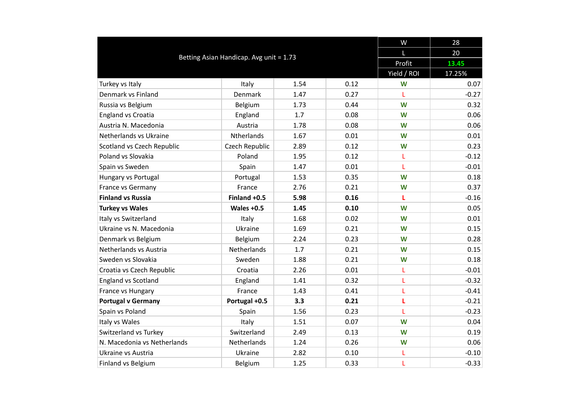|                                         |                |       |      | W           | 28      |
|-----------------------------------------|----------------|-------|------|-------------|---------|
|                                         | L              | 20    |      |             |         |
| Betting Asian Handicap. Avg unit = 1.73 | Profit         | 13.45 |      |             |         |
|                                         |                |       |      | Yield / ROI | 17.25%  |
| Turkey vs Italy                         | Italy          | 1.54  | 0.12 | W           | 0.07    |
| Denmark vs Finland                      | Denmark        | 1.47  | 0.27 | L           | $-0.27$ |
| Russia vs Belgium                       | Belgium        | 1.73  | 0.44 | W           | 0.32    |
| <b>England vs Croatia</b>               | England        | 1.7   | 0.08 | W           | 0.06    |
| Austria N. Macedonia                    | Austria        | 1.78  | 0.08 | W           | 0.06    |
| Netherlands vs Ukraine                  | Ntherlands     | 1.67  | 0.01 | W           | 0.01    |
| Scotland vs Czech Republic              | Czech Republic | 2.89  | 0.12 | W           | 0.23    |
| Poland vs Slovakia                      | Poland         | 1.95  | 0.12 | L           | $-0.12$ |
| Spain vs Sweden                         | Spain          | 1.47  | 0.01 | L           | $-0.01$ |
| Hungary vs Portugal                     | Portugal       | 1.53  | 0.35 | W           | 0.18    |
| France vs Germany                       | France         | 2.76  | 0.21 | W           | 0.37    |
| <b>Finland vs Russia</b>                | Finland +0.5   | 5.98  | 0.16 | L           | $-0.16$ |
| <b>Turkey vs Wales</b>                  | Wales $+0.5$   | 1.45  | 0.10 | W           | 0.05    |
| Italy vs Switzerland                    | Italy          | 1.68  | 0.02 | W           | 0.01    |
| Ukraine vs N. Macedonia                 | Ukraine        | 1.69  | 0.21 | W           | 0.15    |
| Denmark vs Belgium                      | Belgium        | 2.24  | 0.23 | W           | 0.28    |
| Netherlands vs Austria                  | Netherlands    | 1.7   | 0.21 | W           | 0.15    |
| Sweden vs Slovakia                      | Sweden         | 1.88  | 0.21 | W           | 0.18    |
| Croatia vs Czech Republic               | Croatia        | 2.26  | 0.01 | L           | $-0.01$ |
| <b>England vs Scotland</b>              | England        | 1.41  | 0.32 | L           | $-0.32$ |
| France vs Hungary                       | France         | 1.43  | 0.41 | L           | $-0.41$ |
| <b>Portugal v Germany</b>               | Portugal +0.5  | 3.3   | 0.21 | L           | $-0.21$ |
| Spain vs Poland                         | Spain          | 1.56  | 0.23 | L           | $-0.23$ |
| Italy vs Wales                          | Italy          | 1.51  | 0.07 | W           | 0.04    |
| Switzerland vs Turkey                   | Switzerland    | 2.49  | 0.13 | W           | 0.19    |
| N. Macedonia vs Netherlands             | Netherlands    | 1.24  | 0.26 | W           | 0.06    |
| Ukraine vs Austria                      | Ukraine        | 2.82  | 0.10 | L           | $-0.10$ |
| Finland vs Belgium                      | Belgium        | 1.25  | 0.33 | L           | $-0.33$ |